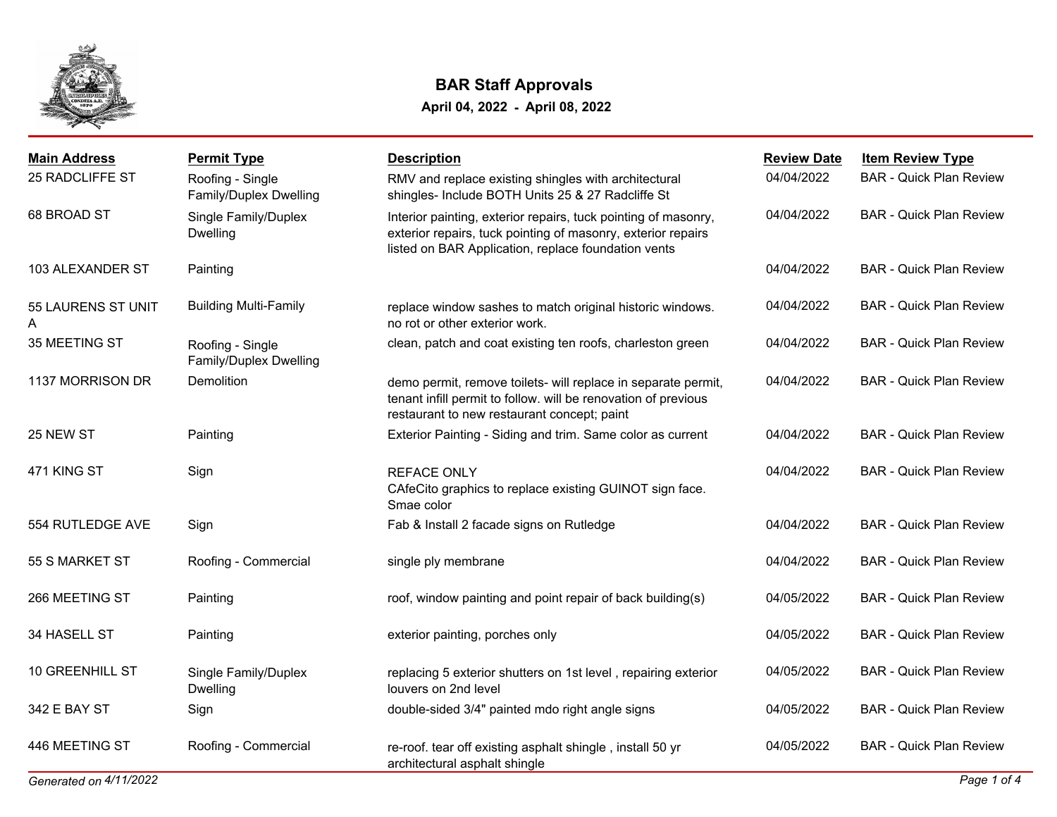

| <b>Main Address</b>     | <b>Permit Type</b>                         | <b>Description</b>                                                                                                                                                                    | <b>Review Date</b> | <b>Item Review Type</b>        |
|-------------------------|--------------------------------------------|---------------------------------------------------------------------------------------------------------------------------------------------------------------------------------------|--------------------|--------------------------------|
| 25 RADCLIFFE ST         | Roofing - Single<br>Family/Duplex Dwelling | RMV and replace existing shingles with architectural<br>shingles- Include BOTH Units 25 & 27 Radcliffe St                                                                             | 04/04/2022         | <b>BAR - Quick Plan Review</b> |
| 68 BROAD ST             | Single Family/Duplex<br><b>Dwelling</b>    | Interior painting, exterior repairs, tuck pointing of masonry,<br>exterior repairs, tuck pointing of masonry, exterior repairs<br>listed on BAR Application, replace foundation vents | 04/04/2022         | <b>BAR - Quick Plan Review</b> |
| 103 ALEXANDER ST        | Painting                                   |                                                                                                                                                                                       | 04/04/2022         | <b>BAR - Quick Plan Review</b> |
| 55 LAURENS ST UNIT<br>A | <b>Building Multi-Family</b>               | replace window sashes to match original historic windows.<br>no rot or other exterior work.                                                                                           | 04/04/2022         | <b>BAR - Quick Plan Review</b> |
| 35 MEETING ST           | Roofing - Single<br>Family/Duplex Dwelling | clean, patch and coat existing ten roofs, charleston green                                                                                                                            | 04/04/2022         | <b>BAR - Quick Plan Review</b> |
| 1137 MORRISON DR        | Demolition                                 | demo permit, remove toilets- will replace in separate permit,<br>tenant infill permit to follow. will be renovation of previous<br>restaurant to new restaurant concept; paint        | 04/04/2022         | <b>BAR - Quick Plan Review</b> |
| 25 NEW ST               | Painting                                   | Exterior Painting - Siding and trim. Same color as current                                                                                                                            | 04/04/2022         | <b>BAR - Quick Plan Review</b> |
| 471 KING ST             | Sign                                       | <b>REFACE ONLY</b><br>CAfeCito graphics to replace existing GUINOT sign face.<br>Smae color                                                                                           | 04/04/2022         | <b>BAR - Quick Plan Review</b> |
| 554 RUTLEDGE AVE        | Sign                                       | Fab & Install 2 facade signs on Rutledge                                                                                                                                              | 04/04/2022         | <b>BAR - Quick Plan Review</b> |
| 55 S MARKET ST          | Roofing - Commercial                       | single ply membrane                                                                                                                                                                   | 04/04/2022         | <b>BAR - Quick Plan Review</b> |
| 266 MEETING ST          | Painting                                   | roof, window painting and point repair of back building(s)                                                                                                                            | 04/05/2022         | <b>BAR - Quick Plan Review</b> |
| 34 HASELL ST            | Painting                                   | exterior painting, porches only                                                                                                                                                       | 04/05/2022         | <b>BAR - Quick Plan Review</b> |
| <b>10 GREENHILL ST</b>  | Single Family/Duplex<br><b>Dwelling</b>    | replacing 5 exterior shutters on 1st level, repairing exterior<br>louvers on 2nd level                                                                                                | 04/05/2022         | <b>BAR - Quick Plan Review</b> |
| 342 E BAY ST            | Sign                                       | double-sided 3/4" painted mdo right angle signs                                                                                                                                       | 04/05/2022         | <b>BAR - Quick Plan Review</b> |
| 446 MEETING ST          | Roofing - Commercial                       | re-roof. tear off existing asphalt shingle, install 50 yr<br>architectural asphalt shingle                                                                                            | 04/05/2022         | <b>BAR - Quick Plan Review</b> |
| Generated on 4/11/2022  |                                            |                                                                                                                                                                                       |                    | Page 1 of 4                    |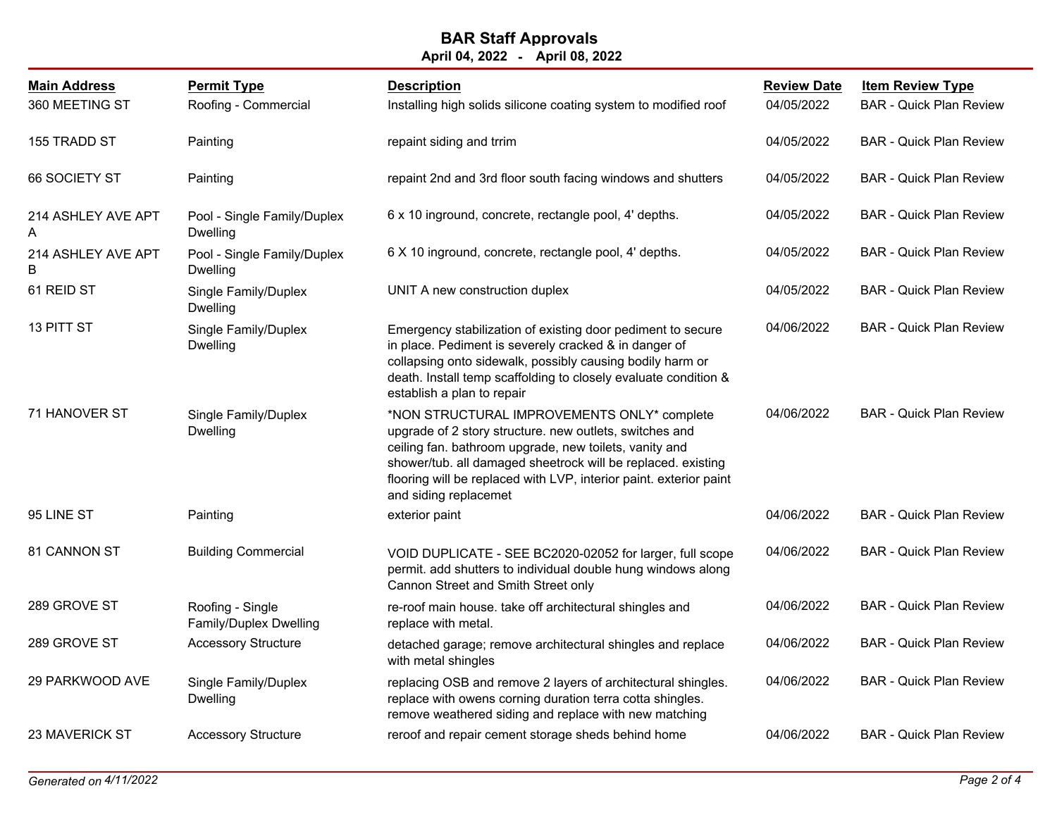| <b>Main Address</b><br>360 MEETING ST | <b>Permit Type</b><br>Roofing - Commercial     | <b>Description</b><br>Installing high solids silicone coating system to modified roof                                                                                                                                                                                                                                           | <b>Review Date</b><br>04/05/2022 | <b>Item Review Type</b><br><b>BAR</b> - Quick Plan Review |
|---------------------------------------|------------------------------------------------|---------------------------------------------------------------------------------------------------------------------------------------------------------------------------------------------------------------------------------------------------------------------------------------------------------------------------------|----------------------------------|-----------------------------------------------------------|
| 155 TRADD ST                          | Painting                                       | repaint siding and trrim                                                                                                                                                                                                                                                                                                        | 04/05/2022                       | <b>BAR - Quick Plan Review</b>                            |
| 66 SOCIETY ST                         | Painting                                       | repaint 2nd and 3rd floor south facing windows and shutters                                                                                                                                                                                                                                                                     | 04/05/2022                       | <b>BAR - Quick Plan Review</b>                            |
| 214 ASHLEY AVE APT<br>A               | Pool - Single Family/Duplex<br>Dwelling        | 6 x 10 inground, concrete, rectangle pool, 4' depths.                                                                                                                                                                                                                                                                           | 04/05/2022                       | <b>BAR</b> - Quick Plan Review                            |
| 214 ASHLEY AVE APT<br>B               | Pool - Single Family/Duplex<br><b>Dwelling</b> | 6 X 10 inground, concrete, rectangle pool, 4' depths.                                                                                                                                                                                                                                                                           | 04/05/2022                       | <b>BAR</b> - Quick Plan Review                            |
| 61 REID ST                            | Single Family/Duplex<br>Dwelling               | UNIT A new construction duplex                                                                                                                                                                                                                                                                                                  | 04/05/2022                       | <b>BAR - Quick Plan Review</b>                            |
| 13 PITT ST                            | Single Family/Duplex<br><b>Dwelling</b>        | Emergency stabilization of existing door pediment to secure<br>in place. Pediment is severely cracked & in danger of<br>collapsing onto sidewalk, possibly causing bodily harm or<br>death. Install temp scaffolding to closely evaluate condition &<br>establish a plan to repair                                              | 04/06/2022                       | <b>BAR - Quick Plan Review</b>                            |
| 71 HANOVER ST                         | Single Family/Duplex<br><b>Dwelling</b>        | *NON STRUCTURAL IMPROVEMENTS ONLY* complete<br>upgrade of 2 story structure. new outlets, switches and<br>ceiling fan. bathroom upgrade, new toilets, vanity and<br>shower/tub. all damaged sheetrock will be replaced. existing<br>flooring will be replaced with LVP, interior paint. exterior paint<br>and siding replacemet | 04/06/2022                       | <b>BAR - Quick Plan Review</b>                            |
| 95 LINE ST                            | Painting                                       | exterior paint                                                                                                                                                                                                                                                                                                                  | 04/06/2022                       | <b>BAR - Quick Plan Review</b>                            |
| 81 CANNON ST                          | <b>Building Commercial</b>                     | VOID DUPLICATE - SEE BC2020-02052 for larger, full scope<br>permit. add shutters to individual double hung windows along<br>Cannon Street and Smith Street only                                                                                                                                                                 | 04/06/2022                       | <b>BAR - Quick Plan Review</b>                            |
| 289 GROVE ST                          | Roofing - Single<br>Family/Duplex Dwelling     | re-roof main house. take off architectural shingles and<br>replace with metal.                                                                                                                                                                                                                                                  | 04/06/2022                       | <b>BAR - Quick Plan Review</b>                            |
| 289 GROVE ST                          | <b>Accessory Structure</b>                     | detached garage; remove architectural shingles and replace<br>with metal shingles                                                                                                                                                                                                                                               | 04/06/2022                       | <b>BAR - Quick Plan Review</b>                            |
| 29 PARKWOOD AVE                       | Single Family/Duplex<br>Dwelling               | replacing OSB and remove 2 layers of architectural shingles.<br>replace with owens corning duration terra cotta shingles.<br>remove weathered siding and replace with new matching                                                                                                                                              | 04/06/2022                       | <b>BAR - Quick Plan Review</b>                            |
| 23 MAVERICK ST                        | <b>Accessory Structure</b>                     | reroof and repair cement storage sheds behind home                                                                                                                                                                                                                                                                              | 04/06/2022                       | <b>BAR - Quick Plan Review</b>                            |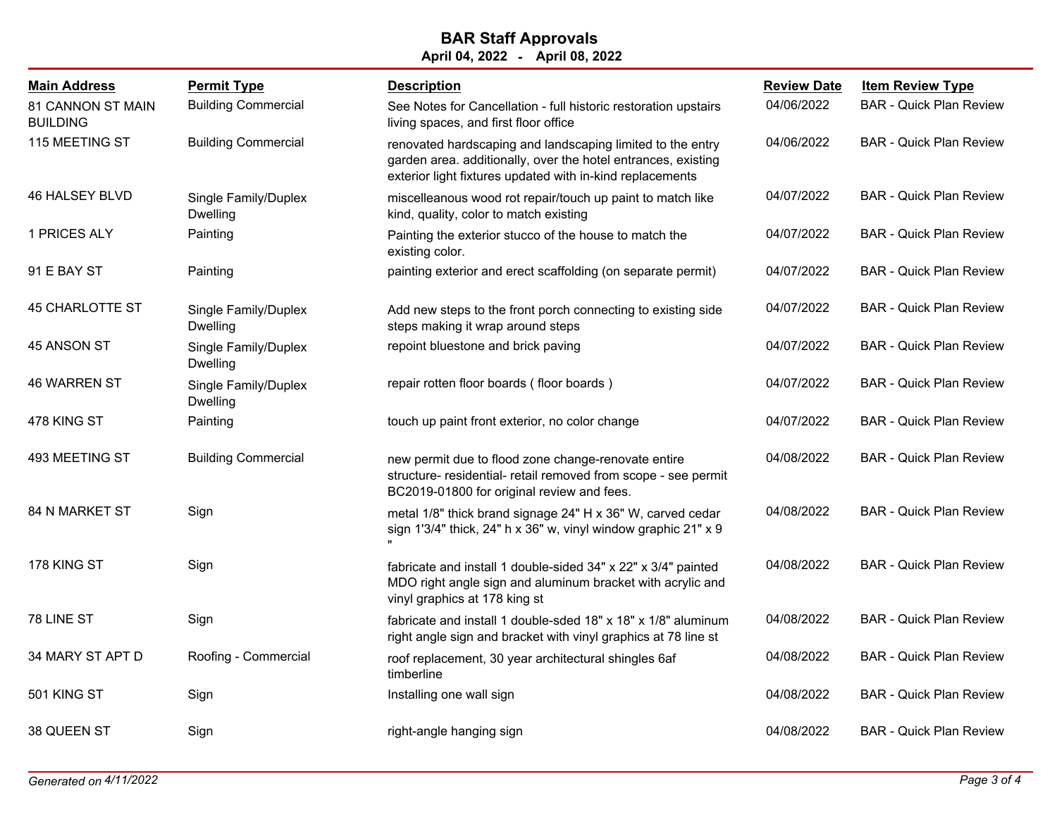| <b>Main Address</b>                         | <b>Permit Type</b>                      | <b>Description</b>                                                                                                                                                                       | <b>Review Date</b> | <b>Item Review Type</b>        |
|---------------------------------------------|-----------------------------------------|------------------------------------------------------------------------------------------------------------------------------------------------------------------------------------------|--------------------|--------------------------------|
| <b>81 CANNON ST MAIN</b><br><b>BUILDING</b> | <b>Building Commercial</b>              | See Notes for Cancellation - full historic restoration upstairs<br>living spaces, and first floor office                                                                                 | 04/06/2022         | <b>BAR - Quick Plan Review</b> |
| 115 MEETING ST                              | <b>Building Commercial</b>              | renovated hardscaping and landscaping limited to the entry<br>garden area. additionally, over the hotel entrances, existing<br>exterior light fixtures updated with in-kind replacements | 04/06/2022         | <b>BAR - Quick Plan Review</b> |
| 46 HALSEY BLVD                              | Single Family/Duplex<br>Dwelling        | miscelleanous wood rot repair/touch up paint to match like<br>kind, quality, color to match existing                                                                                     | 04/07/2022         | <b>BAR</b> - Quick Plan Review |
| 1 PRICES ALY                                | Painting                                | Painting the exterior stucco of the house to match the<br>existing color.                                                                                                                | 04/07/2022         | <b>BAR</b> - Quick Plan Review |
| 91 E BAY ST                                 | Painting                                | painting exterior and erect scaffolding (on separate permit)                                                                                                                             | 04/07/2022         | <b>BAR</b> - Quick Plan Review |
| <b>45 CHARLOTTE ST</b>                      | Single Family/Duplex<br><b>Dwelling</b> | Add new steps to the front porch connecting to existing side<br>steps making it wrap around steps                                                                                        | 04/07/2022         | <b>BAR</b> - Quick Plan Review |
| 45 ANSON ST                                 | Single Family/Duplex<br><b>Dwelling</b> | repoint bluestone and brick paving                                                                                                                                                       | 04/07/2022         | <b>BAR - Quick Plan Review</b> |
| <b>46 WARREN ST</b>                         | Single Family/Duplex<br>Dwelling        | repair rotten floor boards (floor boards)                                                                                                                                                | 04/07/2022         | <b>BAR - Quick Plan Review</b> |
| 478 KING ST                                 | Painting                                | touch up paint front exterior, no color change                                                                                                                                           | 04/07/2022         | <b>BAR - Quick Plan Review</b> |
| 493 MEETING ST                              | <b>Building Commercial</b>              | new permit due to flood zone change-renovate entire<br>structure- residential- retail removed from scope - see permit<br>BC2019-01800 for original review and fees.                      | 04/08/2022         | <b>BAR - Quick Plan Review</b> |
| 84 N MARKET ST                              | Sign                                    | metal 1/8" thick brand signage 24" H x 36" W, carved cedar<br>sign 1'3/4" thick, 24" h x 36" w, vinyl window graphic 21" x 9                                                             | 04/08/2022         | <b>BAR - Quick Plan Review</b> |
| 178 KING ST                                 | Sign                                    | fabricate and install 1 double-sided 34" x 22" x 3/4" painted<br>MDO right angle sign and aluminum bracket with acrylic and<br>vinyl graphics at 178 king st                             | 04/08/2022         | <b>BAR - Quick Plan Review</b> |
| 78 LINE ST                                  | Sign                                    | fabricate and install 1 double-sded 18" x 18" x 1/8" aluminum<br>right angle sign and bracket with vinyl graphics at 78 line st                                                          | 04/08/2022         | <b>BAR - Quick Plan Review</b> |
| 34 MARY ST APT D                            | Roofing - Commercial                    | roof replacement, 30 year architectural shingles 6af<br>timberline                                                                                                                       | 04/08/2022         | <b>BAR - Quick Plan Review</b> |
| 501 KING ST                                 | Sign                                    | Installing one wall sign                                                                                                                                                                 | 04/08/2022         | <b>BAR - Quick Plan Review</b> |
| 38 QUEEN ST                                 | Sign                                    | right-angle hanging sign                                                                                                                                                                 | 04/08/2022         | <b>BAR</b> - Quick Plan Review |